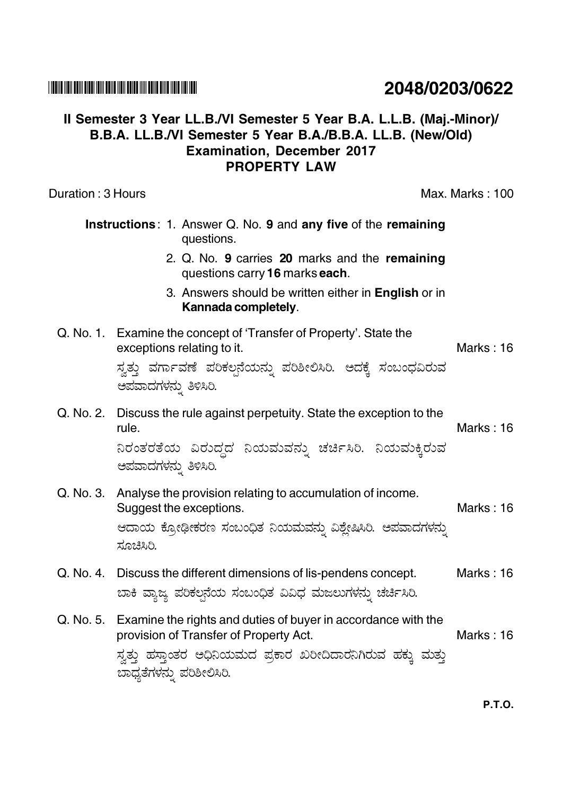## **THEN IN THE BUILDING IN THE BUILDING IN THE THE BUILDING IN THE THE TIME IN**

## Il Semester 3 Year LL.B./VI Semester 5 Year B.A. L.L.B. (Maj.-Minor)/ B.B.A. LL.B./VI Semester 5 Year B.A./B.B.A. LL.B. (New/Old) **Examination, December 2017 PROPERTY LAW**

Duration: 3 Hours

Max. Marks: 100

| Instructions: 1. Answer Q. No. 9 and any five of the remaining<br>questions. |                                                                                                                                                                                                                 |                  |
|------------------------------------------------------------------------------|-----------------------------------------------------------------------------------------------------------------------------------------------------------------------------------------------------------------|------------------|
|                                                                              | 2. Q. No. 9 carries 20 marks and the remaining<br>questions carry 16 marks each.                                                                                                                                |                  |
|                                                                              | 3. Answers should be written either in English or in<br>Kannada completely.                                                                                                                                     |                  |
|                                                                              | Q. No. 1. Examine the concept of 'Transfer of Property'. State the<br>exceptions relating to it.<br>ಸ್ವತ್ತು ವರ್ಗಾವಣೆ ಪರಿಕಲ್ಪನೆಯನ್ನು ಪರಿಶೀಲಿಸಿರಿ. ಅದಕ್ಕೆ ಸಂಬಂಧವಿರುವ<br>ಅಪವಾದಗಳನ್ನು ತಿಳಿಸಿರಿ.                     | <b>Marks: 16</b> |
| Q. No. 2.                                                                    | Discuss the rule against perpetuity. State the exception to the<br>rule.<br>ನಿರಂತರತೆಯ ವಿರುದ್ಧದ ನಿಯಮವನ್ನು ಚರ್ಚಿಸಿರಿ. ನಿಯಮಕ್ಕಿರುವ<br>ಅಪವಾದಗಳನ್ನು ತಿಳಿಸಿರಿ.                                                        | Marks: $16$      |
|                                                                              | Q. No. 3. Analyse the provision relating to accumulation of income.<br>Suggest the exceptions.<br>ಆದಾಯ ಕ್ರೋಢೀಕರಣ ಸಂಬಂಧಿತ ನಿಯಮವನ್ನು ವಿಶ್ಲೇಷಿಸಿರಿ. ಅಪವಾದಗಳನ್ನು<br>ಸೂಚಿಸಿರಿ.                                       | Marks: 16        |
| Q. No. 4.                                                                    | Discuss the different dimensions of lis-pendens concept.<br>ಬಾಕಿ ವ್ಯಾಜ್ಯ ಪರಿಕಲ್ಪನೆಯ ಸಂಬಂಧಿತ ವಿವಿಧ ಮಜಲುಗಳನ್ನು ಚರ್ಚಿಸಿರಿ.                                                                                         | Marks: 16        |
|                                                                              | Q. No. 5. Examine the rights and duties of buyer in accordance with the<br>provision of Transfer of Property Act.<br>ಸ್ವತ್ತು ಹಸ್ತಾಂತರ ಅಧಿನಿಯಮದ ಪ್ರಕಾರ ಖರೀದಿದಾರನಿಗಿರುವ ಹಕ್ಕು ಮತ್ತು<br>ಬಾಧ್ಯತೆಗಳನ್ನು ಪರಿಶೀಲಿಸಿರಿ. | Marks: 16        |

## 2048/0203/0622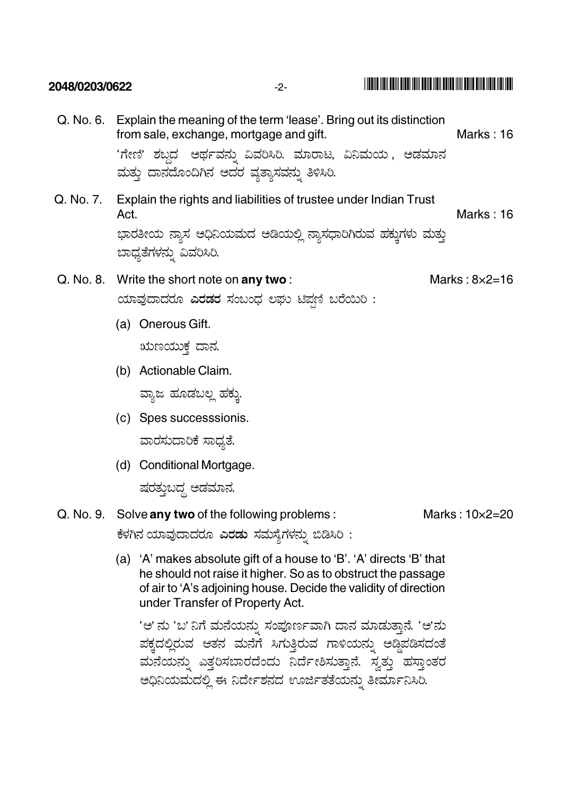| 2048/0203/0622 | $-2-$                                                                                                                                                                                                                                |                  |  |
|----------------|--------------------------------------------------------------------------------------------------------------------------------------------------------------------------------------------------------------------------------------|------------------|--|
|                | Q. No. 6. Explain the meaning of the term 'lease'. Bring out its distinction<br>from sale, exchange, mortgage and gift.<br>'ಗೇಣಿ' ಶಬ್ದದ  ಅರ್ಥವನ್ನು ವಿವರಿಸಿರಿ. ಮಾರಾಟ, ವಿನಿಮಯ , ಅಡಮಾನ<br>ಮತ್ತು ದಾನದೊಂದಿಗಿನ ಅದರ ವ್ಯತ್ಯಾಸವನ್ನು ತಿಳಿಸಿರಿ. | <b>Marks: 16</b> |  |
| Q. No. 7.      | Explain the rights and liabilities of trustee under Indian Trust<br>Act.<br>ಭಾರತೀಯ ನ್ಯಾಸ ಅಧಿನಿಯಮದ ಅಡಿಯಲ್ಲಿ ನ್ಯಾಸಧಾರಿಗಿರುವ ಹಕ್ಕುಗಳು ಮತ್ತು<br>ಬಾಧ್ಯತೆಗಳನ್ನು ವಿವರಿಸಿರಿ.                                                                 | Marks: 16        |  |
|                | Q. No. 8. Write the short note on any two:<br>Marks: $8\times2=16$<br>ಯಾವುದಾದರೂ ಎರಡರ ಸಂಬಂಧ ಲಘು ಟಿಪ್ಪಣಿ ಬರೆಯಿರಿ :                                                                                                                     |                  |  |
|                | (a) Onerous Gift.<br>ಋಣಯುಕ್ತ ದಾನ.<br>(b) Actionable Claim.<br>ವ್ಯಾಜ ಹೂಡಬಲ್ಲ ಹಕ್ಕು.<br>(c) Spes successsionis.<br>ವಾರಸುದಾರಿಕೆ ಸಾಧ್ಯತೆ.<br>Conditional Mortgage.<br>(d)<br>ಷರತ್ತುಬದ್ಧ ಅಡಮಾನ.                                           |                  |  |
|                | Q. No. 9. Solve any two of the following problems:<br>ಕೆಳಗಿನ ಯಾವುದಾದರೂ <b>ಎರಡು</b> ಸಮಸ್ಯೆಗಳನ್ನು ಬಿಡಿಸಿರಿ :                                                                                                                           | Marks: 10×2=20   |  |

I THEIR MEN BENT BIBBI TENI BENT HEN BETER MIN BENT BING AND MEN THE T

(a) 'A' makes absolute gift of a house to 'B'. 'A' directs 'B' that he should not raise it higher. So as to obstruct the passage of air to 'A's adjoining house. Decide the validity of direction under Transfer of Property Act.

'ಅ' ನು 'ಬ' ನಿಗೆ ಮನೆಯನ್ನು ಸಂಪೂರ್ಣವಾಗಿ ದಾನ ಮಾಡುತ್ತಾನೆ. 'ಅ'ನು ಪಕ್ಕದಲ್ಲಿರುವ ಆತನ ಮನೆಗೆ ಸಿಗುತ್ತಿರುವ ಗಾಳಿಯನ್ನು ಅಡ್ಡಿಪಡಿಸದಂತೆ ಮನೆಯನ್ನು ಎತ್ತರಿಸಬಾರದೆಂದು ನಿರ್ದೇಶಿಸುತ್ತಾನೆ. ಸ್ವತ್ತು ಹಸ್ತಾಂತರ ಅಧಿನಿಯಮದಲ್ಲಿ ಈ ನಿರ್ದೇಶನದ ಊರ್ಜಿತತೆಯನ್ನು ತೀರ್ಮಾನಿಸಿರಿ.